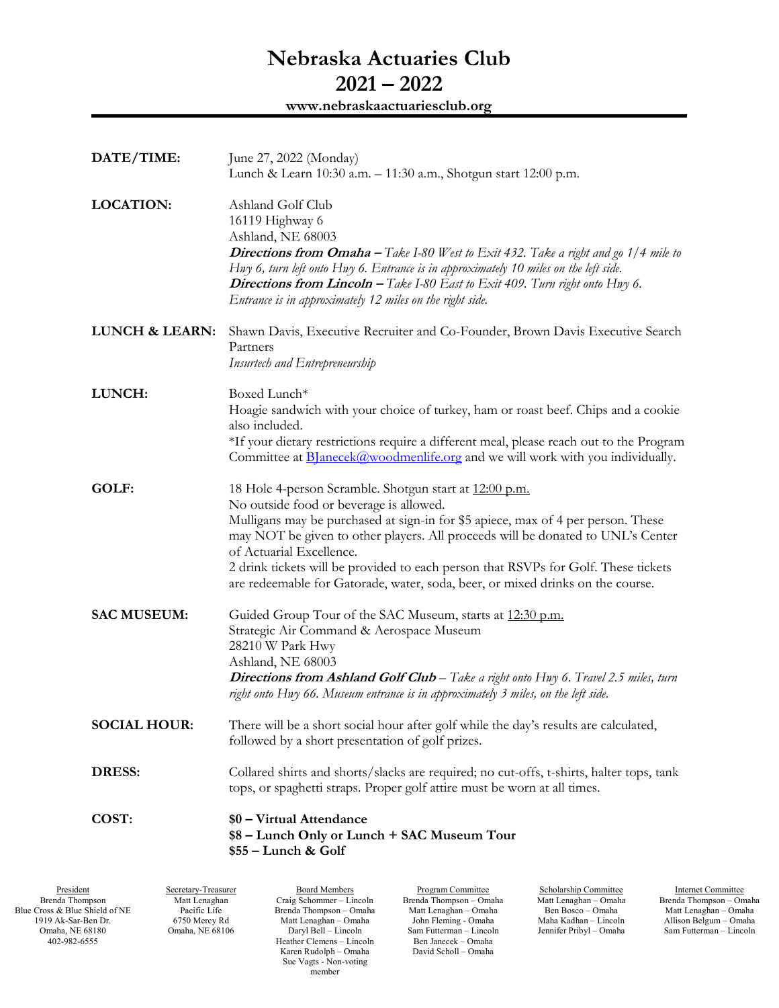## Nebraska Actuaries Club 2021 – 2022 www.nebraskaactuariesclub.org

| DATE/TIME:                | June 27, 2022 (Monday)<br>Lunch & Learn 10:30 a.m. - 11:30 a.m., Shotgun start 12:00 p.m.                                                                                                                                                                                                                                                                                                                                                                                    |
|---------------------------|------------------------------------------------------------------------------------------------------------------------------------------------------------------------------------------------------------------------------------------------------------------------------------------------------------------------------------------------------------------------------------------------------------------------------------------------------------------------------|
| <b>LOCATION:</b>          | Ashland Golf Club<br>16119 Highway 6<br>Ashland, NE 68003<br><b>Directions from Omaha</b> $-$ Take I-80 West to Exit 432. Take a right and go $1/4$ mile to<br>Huy 6, turn left onto Huy 6. Entrance is in approximately 10 miles on the left side.<br>Directions from Lincoln - Take I-80 East to Exit 409. Turn right onto Huy 6.<br>Entrance is in approximately 12 miles on the right side.                                                                              |
| <b>LUNCH &amp; LEARN:</b> | Shawn Davis, Executive Recruiter and Co-Founder, Brown Davis Executive Search<br>Partners<br>Insurtech and Entrepreneurship                                                                                                                                                                                                                                                                                                                                                  |
| LUNCH:                    | Boxed Lunch*<br>Hoagie sandwich with your choice of turkey, ham or roast beef. Chips and a cookie<br>also included.<br>*If your dietary restrictions require a different meal, please reach out to the Program<br>Committee at <b>B</b> Janecek@woodmenlife.org and we will work with you individually.                                                                                                                                                                      |
| GOLF:                     | 18 Hole 4-person Scramble. Shotgun start at 12:00 p.m.<br>No outside food or beverage is allowed.<br>Mulligans may be purchased at sign-in for \$5 apiece, max of 4 per person. These<br>may NOT be given to other players. All proceeds will be donated to UNL's Center<br>of Actuarial Excellence.<br>2 drink tickets will be provided to each person that RSVPs for Golf. These tickets<br>are redeemable for Gatorade, water, soda, beer, or mixed drinks on the course. |
| <b>SAC MUSEUM:</b>        | Guided Group Tour of the SAC Museum, starts at 12:30 p.m.<br>Strategic Air Command & Aerospace Museum<br>28210 W Park Hwy<br>Ashland, NE 68003<br>Directions from Ashland Golf Club - Take a right onto Hwy 6. Travel 2.5 miles, turn<br>right onto Huy 66. Museum entrance is in approximately 3 miles, on the left side.                                                                                                                                                   |
| <b>SOCIAL HOUR:</b>       | There will be a short social hour after golf while the day's results are calculated,<br>followed by a short presentation of golf prizes.                                                                                                                                                                                                                                                                                                                                     |
| <b>DRESS:</b>             | Collared shirts and shorts/slacks are required; no cut-offs, t-shirts, halter tops, tank<br>tops, or spaghetti straps. Proper golf attire must be worn at all times.                                                                                                                                                                                                                                                                                                         |
| COST:                     | \$0 - Virtual Attendance<br>\$8 - Lunch Only or Lunch + SAC Museum Tour<br>\$55 - Lunch & Golf                                                                                                                                                                                                                                                                                                                                                                               |

President Brenda Thompson Blue Cross & Blue Shield of NE 1919 Ak-Sar-Ben Dr. Omaha, NE 68180 402-982-6555

Secretary-Treasurer Matt Lenaghan Pacific Life 6750 Mercy Rd Omaha, NE 68106

Board Members Craig Schommer – Lincoln Brenda Thompson – Omaha Matt Lenaghan – Omaha Daryl Bell – Lincoln Heather Clemens – Lincoln Karen Rudolph – Omaha Sue Vagts - Non-voting member

Program Committee Brenda Thompson – Omaha Matt Lenaghan – Omaha John Fleming - Omaha Sam Futterman – Lincoln Ben Janecek – Omaha David Scholl – Omaha

Scholarship Committee Matt Lenaghan – Omaha Ben Bosco – Omaha Maha Kadhan – Lincoln Jennifer Pribyl – Omaha

Internet Committee Brenda Thompson – Omaha Matt Lenaghan – Omaha Allison Belgum – Omaha Sam Futterman – Lincoln